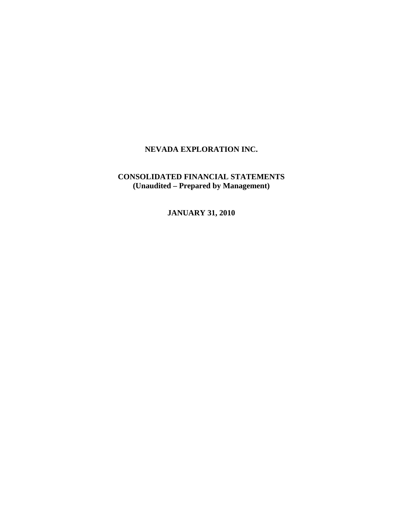# **CONSOLIDATED FINANCIAL STATEMENTS (Unaudited – Prepared by Management)**

**JANUARY 31, 2010**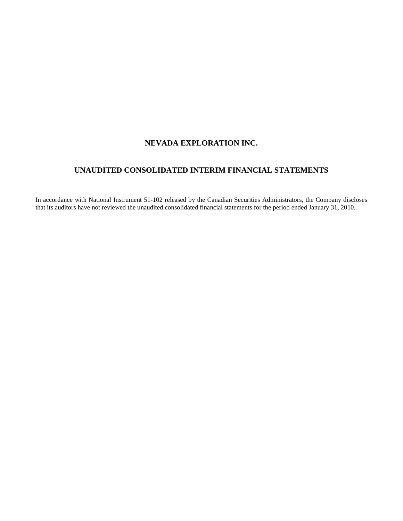# **UNAUDITED CONSOLIDATED INTERIM FINANCIAL STATEMENTS**

In accordance with National Instrument 51-102 released by the Canadian Securities Administrators, the Company discloses that its auditors have not reviewed the unaudited consolidated financial statements for the period ended January 31, 2010.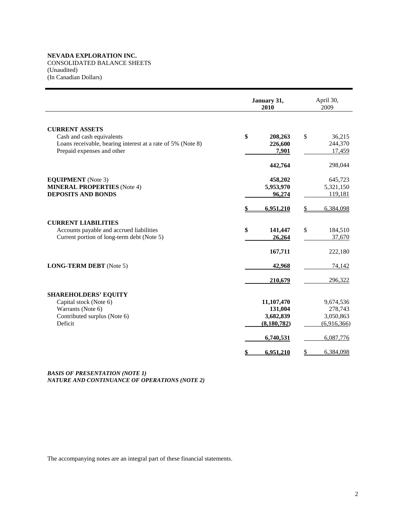CONSOLIDATED BALANCE SHEETS (Unaudited) (In Canadian Dollars)

|                                                                                                                                                 | January 31,<br>2010                                 | April 30,<br>2009                                |
|-------------------------------------------------------------------------------------------------------------------------------------------------|-----------------------------------------------------|--------------------------------------------------|
| <b>CURRENT ASSETS</b><br>Cash and cash equivalents<br>Loans receivable, bearing interest at a rate of 5% (Note 8)<br>Prepaid expenses and other | \$<br>208,263<br>226,600<br>7,901                   | \$<br>36,215<br>244,370<br>17,459<br>298,044     |
| <b>EQUIPMENT</b> (Note 3)<br><b>MINERAL PROPERTIES</b> (Note 4)<br><b>DEPOSITS AND BONDS</b>                                                    | 442,764<br>458,202<br>5,953,970<br>96,274           | 645,723<br>5,321,150<br>119,181                  |
| <b>CURRENT LIABILITIES</b><br>Accounts payable and accrued liabilities<br>Current portion of long-term debt (Note 5)                            | 6,951,210<br>\$<br>141,447<br>26,264                | 6,384,098<br>S<br>\$<br>184,510<br>37,670        |
| <b>LONG-TERM DEBT</b> (Note 5)                                                                                                                  | 167,711<br>42,968<br>210,679                        | 222,180<br>74,142<br>296,322                     |
| <b>SHAREHOLDERS' EQUITY</b><br>Capital stock (Note 6)<br>Warrants (Note 6)<br>Contributed surplus (Note 6)<br>Deficit                           | 11,107,470<br>131,004<br>3,682,839<br>(8, 180, 782) | 9,674,536<br>278,743<br>3,050,863<br>(6,916,366) |
|                                                                                                                                                 | 6,740,531<br>6,951,210<br>\$                        | 6,087,776<br>6,384,098<br>\$                     |

*BASIS OF PRESENTATION (NOTE 1) NATURE AND CONTINUANCE OF OPERATIONS (NOTE 2)* 

The accompanying notes are an integral part of these financial statements.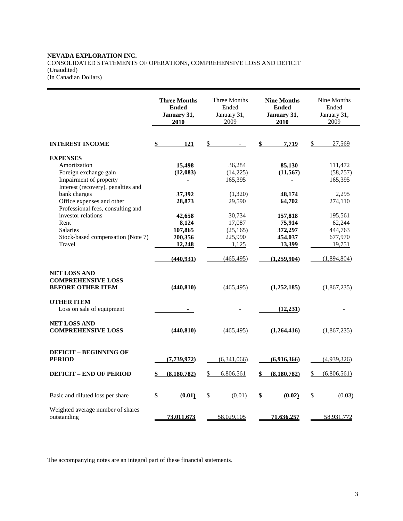# **NEVADA EXPLORATION INC.**  CONSOLIDATED STATEMENTS OF OPERATIONS, COMPREHENSIVE LOSS AND DEFICIT (Unaudited)

(In Canadian Dollars)

|                                                                              | <b>Three Months</b><br><b>Ended</b><br>January 31,<br>2010 | Three Months<br>Ended<br>January 31,<br>2009 | <b>Nine Months</b><br><b>Ended</b><br>January 31,<br>2010 | Nine Months<br>Ended<br>January 31,<br>2009 |
|------------------------------------------------------------------------------|------------------------------------------------------------|----------------------------------------------|-----------------------------------------------------------|---------------------------------------------|
| <b>INTEREST INCOME</b>                                                       | 121                                                        | \$                                           | 7,719                                                     | \$<br>27,569                                |
| <b>EXPENSES</b>                                                              |                                                            |                                              |                                                           |                                             |
| Amortization                                                                 | 15,498                                                     | 36,284                                       | 85,130                                                    | 111,472                                     |
| Foreign exchange gain                                                        | (12,083)                                                   | (14,225)                                     | (11, 567)                                                 | (58, 757)                                   |
| Impairment of property                                                       |                                                            | 165,395                                      | $\blacksquare$                                            | 165,395                                     |
| Interest (recovery), penalties and                                           |                                                            |                                              |                                                           |                                             |
| bank charges<br>Office expenses and other                                    | 37,392                                                     | (1,320)                                      | 48,174                                                    | 2,295                                       |
| Professional fees, consulting and                                            | 28,873                                                     | 29,590                                       | 64,702                                                    | 274,110                                     |
| investor relations                                                           | 42,658                                                     | 30,734                                       | 157,818                                                   | 195,561                                     |
| Rent                                                                         | 8,124                                                      | 17,087                                       | 75,914                                                    | 62,244                                      |
| <b>Salaries</b>                                                              | 107,865                                                    | (25, 165)                                    | 372,297                                                   | 444,763                                     |
| Stock-based compensation (Note 7)                                            | 200,356                                                    | 225,990                                      | 454,037                                                   | 677,970                                     |
| Travel                                                                       | 12,248                                                     | 1,125                                        | 13,399                                                    | 19,751                                      |
|                                                                              | (440, 931)                                                 | (465, 495)                                   | (1.259.904)                                               | (1,894,804)                                 |
| <b>NET LOSS AND</b><br><b>COMPREHENSIVE LOSS</b><br><b>BEFORE OTHER ITEM</b> | (440, 810)                                                 | (465, 495)                                   | (1,252,185)                                               | (1,867,235)                                 |
| <b>OTHER ITEM</b><br>Loss on sale of equipment                               |                                                            |                                              | (12, 231)                                                 |                                             |
| <b>NET LOSS AND</b><br><b>COMPREHENSIVE LOSS</b>                             | (440, 810)                                                 | (465, 495)                                   | (1,264,416)                                               | (1,867,235)                                 |
| <b>DEFICIT - BEGINNING OF</b><br><b>PERIOD</b>                               | (7, 739, 972)                                              | (6,341,066)                                  | (6,916,366)                                               | (4,939,326)                                 |
| <b>DEFICIT - END OF PERIOD</b>                                               | (8, 180, 782)                                              | \$<br>6,806,561                              | (8,180,782)                                               | (6,806,561)<br>\$                           |
| Basic and diluted loss per share                                             | \$.<br>(0.01)                                              | \$<br>(0.01)                                 | (0.02)<br>\$.                                             | \$<br>(0.03)                                |
| Weighted average number of shares<br>outstanding                             | 73,011,673                                                 | 58,029,105                                   | 71,636,257                                                | 58,931,772                                  |

The accompanying notes are an integral part of these financial statements.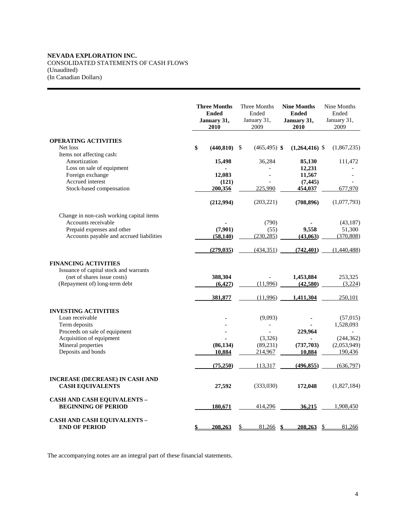# **NEVADA EXPLORATION INC.**  CONSOLIDATED STATEMENTS OF CASH FLOWS (Unaudited)

(In Canadian Dollars)

|                                                                        | <b>Three Months</b><br><b>Ended</b><br>January 31,<br>2010 | Three Months<br>Ended<br>January 31,<br>2009 | <b>Nine Months</b><br><b>Ended</b><br>January 31,<br>2010 | Nine Months<br>Ended<br>January 31,<br>2009 |
|------------------------------------------------------------------------|------------------------------------------------------------|----------------------------------------------|-----------------------------------------------------------|---------------------------------------------|
| <b>OPERATING ACTIVITIES</b>                                            |                                                            |                                              |                                                           |                                             |
| Net loss                                                               | \$<br>(440, 810)                                           | $\mathbf{\hat{S}}$<br>$(465, 495)$ \$        | $(1,264,416)$ \$                                          | (1,867,235)                                 |
| Items not affecting cash:<br>Amortization<br>Loss on sale of equipment | 15,498                                                     | 36,284                                       | 85,130<br>12,231                                          | 111,472                                     |
| Foreign exchange                                                       | 12,083                                                     |                                              | 11,567                                                    |                                             |
| Accrued interest                                                       | (121)                                                      |                                              | (7, 445)                                                  |                                             |
| Stock-based compensation                                               | 200,356                                                    | 225.990                                      | 454,037                                                   | 677,970                                     |
|                                                                        | (212,994)                                                  | (203, 221)                                   | (708, 896)                                                | (1,077,793)                                 |
| Change in non-cash working capital items                               |                                                            |                                              |                                                           |                                             |
| Accounts receivable                                                    |                                                            | (790)                                        |                                                           | (43, 187)                                   |
| Prepaid expenses and other                                             | (7,901)                                                    | (55)                                         | 9,558                                                     | 51,300                                      |
| Accounts payable and accrued liabilities                               | (58, 140)                                                  | (230, 285)                                   | (43,063)                                                  | (370, 808)                                  |
|                                                                        | (279, 035)                                                 | (434,351)                                    | (742, 401)                                                | (1,440,488)                                 |
| <b>FINANCING ACTIVITIES</b>                                            |                                                            |                                              |                                                           |                                             |
| Issuance of capital stock and warrants<br>(net of shares issue costs)  |                                                            |                                              |                                                           |                                             |
| (Repayment of) long-term debt                                          | 388,304<br>(6,427)                                         | (11.996)                                     | 1,453,884<br>(42,580)                                     | 253,325<br>(3,224)                          |
|                                                                        |                                                            |                                              |                                                           |                                             |
|                                                                        | 381,877                                                    | (11,996)                                     | 1,411,304                                                 | 250,101                                     |
| <b>INVESTING ACTIVITIES</b>                                            |                                                            |                                              |                                                           |                                             |
| Loan receivable                                                        |                                                            | (9,093)                                      |                                                           | (57,015)                                    |
| Term deposits                                                          |                                                            |                                              |                                                           | 1,528,093                                   |
| Proceeds on sale of equipment<br>Acquisition of equipment              |                                                            | (3,326)                                      | 229,964                                                   | (244, 362)                                  |
| Mineral properties                                                     | (86, 134)                                                  | (89,231)                                     | (737,703)                                                 | (2,053,949)                                 |
| Deposits and bonds                                                     | 10,884                                                     | 214,967                                      | 10,884                                                    | 190,436                                     |
|                                                                        | (75,250)                                                   | 113,317                                      | (496, 855)                                                | (636,797)                                   |
| <b>INCREASE (DECREASE) IN CASH AND</b><br><b>CASH EQUIVALENTS</b>      | 27,592                                                     | (333,030)                                    | 172,048                                                   | (1,827,184)                                 |
| <b>CASH AND CASH EQUIVALENTS -</b><br><b>BEGINNING OF PERIOD</b>       | 180,671                                                    | 414,296                                      | 36,215                                                    | 1,908,450                                   |
| <b>CASH AND CASH EQUIVALENTS -</b><br><b>END OF PERIOD</b>             | 208,263<br>\$                                              | $81,266$ \$<br>\$                            | $208.263$ \$                                              | 81,266                                      |

The accompanying notes are an integral part of these financial statements.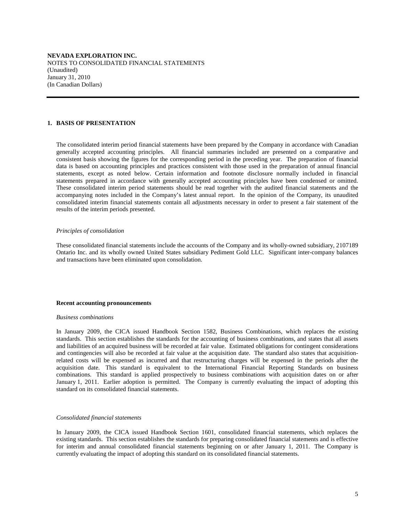#### **1. BASIS OF PRESENTATION**

 The consolidated interim period financial statements have been prepared by the Company in accordance with Canadian generally accepted accounting principles. All financial summaries included are presented on a comparative and consistent basis showing the figures for the corresponding period in the preceding year. The preparation of financial data is based on accounting principles and practices consistent with those used in the preparation of annual financial statements, except as noted below. Certain information and footnote disclosure normally included in financial statements prepared in accordance with generally accepted accounting principles have been condensed or omitted. These consolidated interim period statements should be read together with the audited financial statements and the accompanying notes included in the Company's latest annual report. In the opinion of the Company, its unaudited consolidated interim financial statements contain all adjustments necessary in order to present a fair statement of the results of the interim periods presented.

#### *Principles of consolidation*

 These consolidated financial statements include the accounts of the Company and its wholly-owned subsidiary, 2107189 Ontario Inc. and its wholly owned United States subsidiary Pediment Gold LLC. Significant inter-company balances and transactions have been eliminated upon consolidation.

#### **Recent accounting pronouncements**

#### *Business combinations*

 In January 2009, the CICA issued Handbook Section 1582, Business Combinations, which replaces the existing standards. This section establishes the standards for the accounting of business combinations, and states that all assets and liabilities of an acquired business will be recorded at fair value. Estimated obligations for contingent considerations and contingencies will also be recorded at fair value at the acquisition date. The standard also states that acquisitionrelated costs will be expensed as incurred and that restructuring charges will be expensed in the periods after the acquisition date. This standard is equivalent to the International Financial Reporting Standards on business combinations. This standard is applied prospectively to business combinations with acquisition dates on or after January 1, 2011. Earlier adoption is permitted. The Company is currently evaluating the impact of adopting this standard on its consolidated financial statements.

#### *Consolidated financial statements*

 In January 2009, the CICA issued Handbook Section 1601, consolidated financial statements, which replaces the existing standards. This section establishes the standards for preparing consolidated financial statements and is effective for interim and annual consolidated financial statements beginning on or after January 1, 2011. The Company is currently evaluating the impact of adopting this standard on its consolidated financial statements.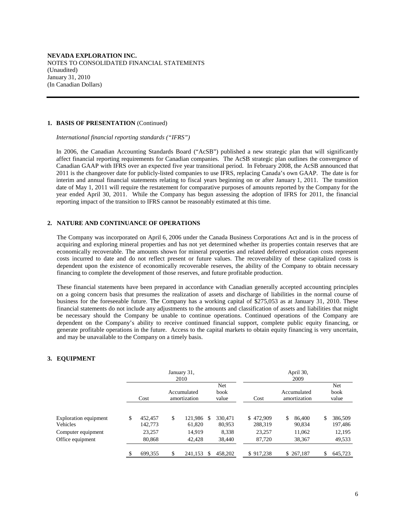#### **1. BASIS OF PRESENTATION** (Continued)

 *International financial reporting standards ("IFRS")* 

 In 2006, the Canadian Accounting Standards Board ("AcSB") published a new strategic plan that will significantly affect financial reporting requirements for Canadian companies. The AcSB strategic plan outlines the convergence of Canadian GAAP with IFRS over an expected five year transitional period. In February 2008, the AcSB announced that 2011 is the changeover date for publicly-listed companies to use IFRS, replacing Canada's own GAAP. The date is for interim and annual financial statements relating to fiscal years beginning on or after January 1, 2011. The transition date of May 1, 2011 will require the restatement for comparative purposes of amounts reported by the Company for the year ended April 30, 2011. While the Company has begun assessing the adoption of IFRS for 2011, the financial reporting impact of the transition to IFRS cannot be reasonably estimated at this time.

## **2. NATURE AND CONTINUANCE OF OPERATIONS**

The Company was incorporated on April 6, 2006 under the Canada Business Corporations Act and is in the process of acquiring and exploring mineral properties and has not yet determined whether its properties contain reserves that are economically recoverable. The amounts shown for mineral properties and related deferred exploration costs represent costs incurred to date and do not reflect present or future values. The recoverability of these capitalized costs is dependent upon the existence of economically recoverable reserves, the ability of the Company to obtain necessary financing to complete the development of those reserves, and future profitable production.

These financial statements have been prepared in accordance with Canadian generally accepted accounting principles on a going concern basis that presumes the realization of assets and discharge of liabilities in the normal course of business for the foreseeable future. The Company has a working capital of \$275,053 as at January 31, 2010. These financial statements do not include any adjustments to the amounts and classification of assets and liabilities that might be necessary should the Company be unable to continue operations. Continued operations of the Company are dependent on the Company's ability to receive continued financial support, complete public equity financing, or generate profitable operations in the future. Access to the capital markets to obtain equity financing is very uncertain, and may be unavailable to the Company on a timely basis.

# **3. EQUIPMENT**

|                                        |                          | January 31,<br>2010         |     |                      |                      |    | April 30,<br>2009           |                          |
|----------------------------------------|--------------------------|-----------------------------|-----|----------------------|----------------------|----|-----------------------------|--------------------------|
|                                        | Cost                     | Accumulated<br>amortization |     | Net<br>book<br>value | Cost                 |    | Accumulated<br>amortization | Net<br>book<br>value     |
| Exploration equipment<br>Vehicles      | \$<br>452,457<br>142,773 | \$<br>121,986<br>61.820     | -\$ | 330.471<br>80,953    | \$472,909<br>288,319 | S. | 86,400<br>90,834            | \$<br>386,509<br>197,486 |
| Computer equipment<br>Office equipment | 23,257<br>80,868         | 14,919<br>42,428            |     | 8,338<br>38,440      | 23,257<br>87,720     |    | 11,062<br>38,367            | 12,195<br>49,533         |
|                                        | \$<br>699,355            | \$<br>241,153               | \$  | 458,202              | \$917.238            |    | \$267,187                   | \$<br>645,723            |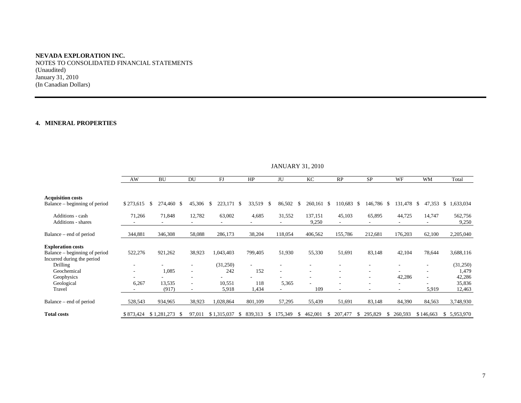NOTES TO CONSOLIDATED FINANCIAL STATEMENTS (Unaudited) January 31, 2010 (In Canadian Dollars)

## **4. MINERAL PROPERTIES**

|                                                                                         | JANUAR Y 31, 2010 |                  |                          |                 |                          |                |                               |                |              |               |           |                  |
|-----------------------------------------------------------------------------------------|-------------------|------------------|--------------------------|-----------------|--------------------------|----------------|-------------------------------|----------------|--------------|---------------|-----------|------------------|
|                                                                                         | AW                | BU               | DU                       | FJ              | HP                       | JU             | KC                            | RP             | <b>SP</b>    | WF            | <b>WM</b> | Total            |
| <b>Acquisition costs</b>                                                                |                   |                  |                          |                 |                          |                |                               |                |              |               |           |                  |
| Balance – beginning of period                                                           | \$273,615         | 274,460 \$<br>S. | 45,306                   | 223,171<br>-\$  | -S<br>33,519             | 86,502<br>- \$ | 260,161 \$<br>-S              | 110,683 \$     | 146,786 \$   | 131,478 \$    | 47,353    | \$1,633,034      |
| Additions - cash<br>Additions - shares                                                  | 71,266            | 71,848           | 12,782                   | 63,002          | 4,685                    | 31,552         | 137,151<br>9,250              | 45,103         | 65,895       | 44,725        | 14,747    | 562,756<br>9,250 |
| Balance – end of period                                                                 | 344,881           | 346,308          | 58,088                   | 286,173         | 38,204                   | 118,054        | 406,562                       | 155,786        | 212,681      | 176,203       | 62,100    | 2,205,040        |
| <b>Exploration costs</b><br>Balance – beginning of period<br>Incurred during the period | 522,276           | 921,262          | 38,923                   | 1,043,403       | 799,405                  | 51,930         | 55,330                        | 51,691         | 83,148       | 42,104        | 78,644    | 3,688,116        |
| Drilling                                                                                |                   |                  |                          | (31,250)        | $\overline{\phantom{a}}$ |                | ٠                             |                |              |               |           | (31,250)         |
| Geochemical<br>Geophysics                                                               |                   | 1,085            |                          | 242             | 152                      |                | $\overline{\phantom{m}}$<br>٠ |                | ٠            | 42,286        |           | 1,479<br>42,286  |
| Geological<br>Travel                                                                    | 6,267             | 13,535<br>(917)  | $\overline{\phantom{a}}$ | 10,551<br>5,918 | 118<br>1,434             | 5,365          | 109                           |                | ٠            | ۰.            | 5,919     | 35,836<br>12,463 |
| Balance – end of period                                                                 | 528,543           | 934,965          | 38,923                   | 1,028,864       | 801,109                  | 57,295         | 55,439                        | 51,691         | 83,148       | 84,390        | 84,563    | 3,748,930        |
| <b>Total costs</b>                                                                      | \$873,424         | $$1,281,273$ \;  | 97,011                   | \$1,315,037     | 839,313<br><sup>\$</sup> | 175,349<br>S.  | 462,001<br>У.                 | 207,477<br>-85 | 295,829<br>S | 260,593<br>\$ | \$146,663 | \$ 5,953,970     |

 $IANIIAPV$  31, 2010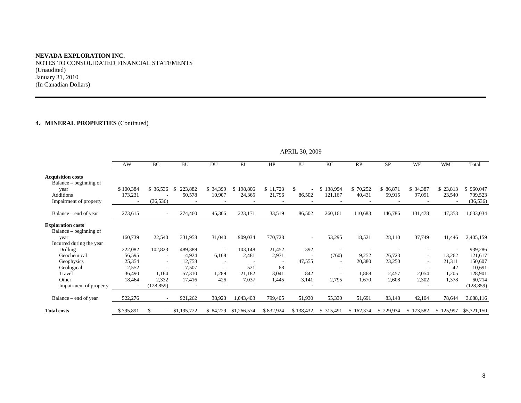# **NEVADA EXPLORATION INC.**  NOTES TO CONSOLIDATED FINANCIAL STATEMENTS (Unaudited)

January 31, 2010 (In Canadian Dollars)

# **4. MINERAL PROPERTIES** (Continued)

|                                                    | AW        | BC                       | <b>BU</b>       | DU                       | FJ            | HP        | JU        | KC                       | RP        | <b>SP</b> | <b>WF</b>                | <b>WM</b> | Total       |
|----------------------------------------------------|-----------|--------------------------|-----------------|--------------------------|---------------|-----------|-----------|--------------------------|-----------|-----------|--------------------------|-----------|-------------|
| <b>Acquisition costs</b><br>Balance – beginning of |           |                          |                 |                          |               |           |           |                          |           |           |                          |           |             |
| year                                               | \$100,384 | \$36,536                 | 223,882         | \$ 34,399                | 198,806<br>S. | \$11,723  | \$.       | \$138,994                | \$70,252  | \$86,871  | \$34,387                 | \$23,813  | \$960,047   |
| <b>Additions</b>                                   | 173,231   |                          | 50,578          | 10,907                   | 24,365        | 21,796    | 86,502    | 121,167                  | 40,431    | 59,915    | 97,091                   | 23,540    | 709,523     |
| Impairment of property                             |           | (36, 536)                |                 |                          |               |           |           |                          |           |           |                          |           | (36, 536)   |
| Balance – end of year                              | 273,615   |                          | 274,460         | 45,306                   | 223,171       | 33,519    | 86,502    | 260,161                  | 110,683   | 146,786   | 131,478                  | 47,353    | 1,633,034   |
| <b>Exploration costs</b>                           |           |                          |                 |                          |               |           |           |                          |           |           |                          |           |             |
| Balance – beginning of                             |           |                          |                 |                          |               |           |           |                          |           |           |                          |           |             |
| year                                               | 160,739   | 22,540                   | 331,958         | 31,040                   | 909,034       | 770,728   |           | 53,295                   | 18,521    | 28,110    | 37,749                   | 41,446    | 2,405,159   |
| Incurred during the year                           |           |                          |                 |                          |               |           |           |                          |           |           |                          |           |             |
| <b>Drilling</b>                                    | 222,082   | 102,823                  | 489,389         | $\overline{\phantom{a}}$ | 103,148       | 21,452    | 392       | $\overline{\phantom{a}}$ |           |           |                          |           | 939,286     |
| Geochemical                                        | 56,595    | $\overline{\phantom{a}}$ | 4,924           | 6,168                    | 2,481         | 2,971     |           | (760)                    | 9,252     | 26,723    | $\sim$                   | 13,262    | 121,617     |
| Geophysics                                         | 25,354    | $\overline{\phantom{a}}$ | 12,758          |                          |               |           | 47,555    | $\overline{\phantom{a}}$ | 20,380    | 23,250    | $\overline{\phantom{a}}$ | 21,311    | 150,607     |
| Geological                                         | 2,552     |                          | 7,507           |                          | 521           | 68        |           | ٠                        |           |           |                          | 42        | 10,691      |
| Travel                                             | 36,490    | 1,164                    | 57,310          | 1,289                    | 21,182        | 3,041     | 842       | $\overline{\phantom{a}}$ | 1,868     | 2,457     | 2,054                    | 1,205     | 128,901     |
| Other                                              | 18,464    | 2,332                    | 17,416          | 426                      | 7,037         | 1,445     | 3,141     | 2,795                    | 1,670     | 2,608     | 2,302                    | 1,378     | 60,714      |
| Impairment of property                             |           | (128, 859)               |                 |                          |               |           |           |                          |           |           |                          |           | (128, 859)  |
| Balance – end of year                              | 522,276   |                          | 921,262         | 38,923                   | 1,043,403     | 799,405   | 51,930    | 55,330                   | 51,691    | 83,148    | 42,104                   | 78,644    | 3,688,116   |
| <b>Total costs</b>                                 | \$795,891 |                          | $-$ \$1,195,722 | \$84,229                 | \$1,266,574   | \$832,924 | \$138,432 | \$ 315,491               | \$162,374 | \$229,934 | 173,582<br>S.            | \$125,997 | \$5,321,150 |

APRIL 30, 2009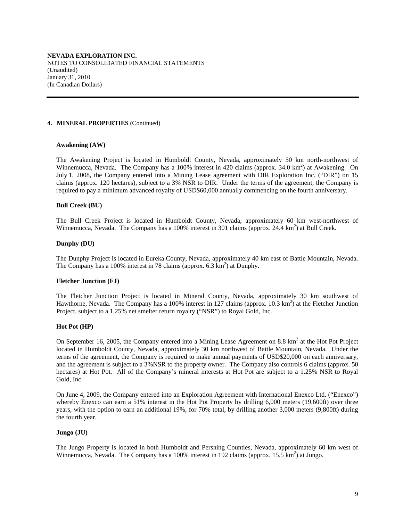#### **4. MINERAL PROPERTIES** (Continued)

## **Awakening (AW)**

The Awakening Project is located in Humboldt County, Nevada, approximately 50 km north-northwest of Winnemucca, Nevada. The Company has a 100% interest in 420 claims (approx. 34.0 km<sup>2</sup>) at Awakening. On July 1, 2008, the Company entered into a Mining Lease agreement with DIR Exploration Inc. ("DIR") on 15 claims (approx. 120 hectares), subject to a 3% NSR to DIR. Under the terms of the agreement, the Company is required to pay a minimum advanced royalty of USD\$60,000 annually commencing on the fourth anniversary.

## **Bull Creek (BU)**

The Bull Creek Project is located in Humboldt County, Nevada, approximately 60 km west-northwest of Winnemucca, Nevada. The Company has a 100% interest in 301 claims (approx. 24.4 km<sup>2</sup>) at Bull Creek.

#### **Dunphy (DU)**

The Dunphy Project is located in Eureka County, Nevada, approximately 40 km east of Battle Mountain, Nevada. The Company has a 100% interest in 78 claims (approx.  $6.3 \text{ km}^2$ ) at Dunphy.

### **Fletcher Junction (FJ)**

The Fletcher Junction Project is located in Mineral County, Nevada, approximately 30 km southwest of Hawthorne, Nevada. The Company has a 100% interest in 127 claims (approx. 10.3 km<sup>2</sup>) at the Fletcher Junction Project, subject to a 1.25% net smelter return royalty ("NSR") to Royal Gold, Inc.

### **Hot Pot (HP)**

On September 16, 2005, the Company entered into a Mining Lease Agreement on 8.8  $\text{km}^2$  at the Hot Project located in Humboldt County, Nevada, approximately 30 km northwest of Battle Mountain, Nevada. Under the terms of the agreement, the Company is required to make annual payments of USD\$20,000 on each anniversary, and the agreement is subject to a 3%NSR to the property owner. The Company also controls 6 claims (approx. 50 hectares) at Hot Pot. All of the Company's mineral interests at Hot Pot are subject to a 1.25% NSR to Royal Gold, Inc.

On June 4, 2009, the Company entered into an Exploration Agreement with International Enexco Ltd. ("Enexco") whereby Enexco can earn a 51% interest in the Hot Pot Property by drilling 6,000 meters (19,600ft) over three years, with the option to earn an additional 19%, for 70% total, by drilling another 3,000 meters (9,800ft) during the fourth year.

### **Jungo (JU)**

The Jungo Property is located in both Humboldt and Pershing Counties, Nevada, approximately 60 km west of Winnemucca, Nevada. The Company has a 100% interest in 192 claims (approx.  $15.\overline{5} \text{ km}^2$ ) at Jungo.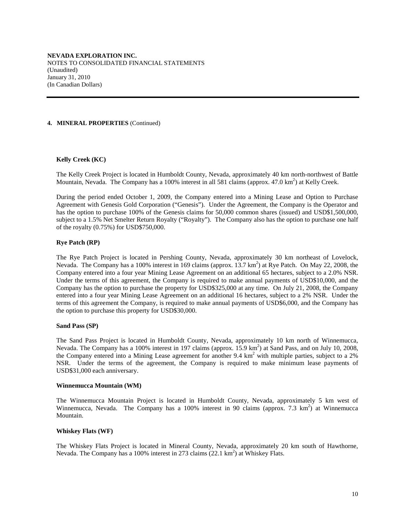#### **4. MINERAL PROPERTIES** (Continued)

### **Kelly Creek (KC)**

The Kelly Creek Project is located in Humboldt County, Nevada, approximately 40 km north-northwest of Battle Mountain, Nevada. The Company has a 100% interest in all 581 claims (approx. 47.0 km<sup>2</sup>) at Kelly Creek.

During the period ended October 1, 2009, the Company entered into a Mining Lease and Option to Purchase Agreement with Genesis Gold Corporation ("Genesis"). Under the Agreement, the Company is the Operator and has the option to purchase 100% of the Genesis claims for 50,000 common shares (issued) and USD\$1,500,000, subject to a 1.5% Net Smelter Return Royalty ("Royalty"). The Company also has the option to purchase one half of the royalty (0.75%) for USD\$750,000.

## **Rye Patch (RP)**

The Rye Patch Project is located in Pershing County, Nevada, approximately 30 km northeast of Lovelock, Nevada. The Company has a 100% interest in 169 claims (approx. 13.7 km<sup>2</sup>) at Rye Patch. On May 22, 2008, the Company entered into a four year Mining Lease Agreement on an additional 65 hectares, subject to a 2.0% NSR. Under the terms of this agreement, the Company is required to make annual payments of USD\$10,000, and the Company has the option to purchase the property for USD\$325,000 at any time. On July 21, 2008, the Company entered into a four year Mining Lease Agreement on an additional 16 hectares, subject to a 2% NSR. Under the terms of this agreement the Company, is required to make annual payments of USD\$6,000, and the Company has the option to purchase this property for USD\$30,000.

### **Sand Pass (SP)**

The Sand Pass Project is located in Humboldt County, Nevada, approximately 10 km north of Winnemucca, Nevada. The Company has a 100% interest in 197 claims (approx. 15.9 km<sup>2</sup>) at Sand Pass, and on July 10, 2008, the Company entered into a Mining Lease agreement for another 9.4 km<sup>2</sup> with multiple parties, subject to a 2% NSR. Under the terms of the agreement, the Company is required to make minimum lease payments of USD\$31,000 each anniversary.

#### **Winnemucca Mountain (WM)**

The Winnemucca Mountain Project is located in Humboldt County, Nevada, approximately 5 km west of Winnemucca, Nevada. The Company has a 100% interest in 90 claims (approx. 7.3  $km^2$ ) at Winnemucca Mountain.

## **Whiskey Flats (WF)**

The Whiskey Flats Project is located in Mineral County, Nevada, approximately 20 km south of Hawthorne, Nevada. The Company has a 100% interest in 273 claims (22.1 km<sup>2</sup>) at Whiskey Flats.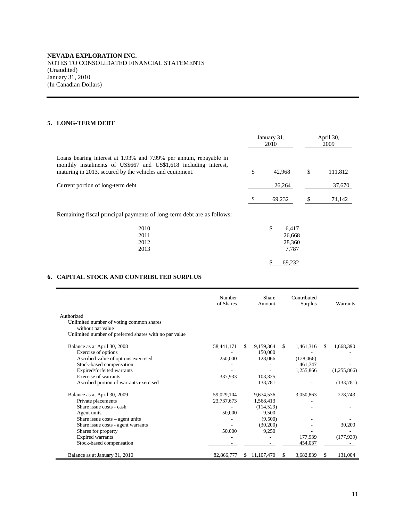# **5. LONG-TERM DEBT**

|                                                                                                                                                                                                   | January 31,<br>2010            |   | April 30,<br>2009 |
|---------------------------------------------------------------------------------------------------------------------------------------------------------------------------------------------------|--------------------------------|---|-------------------|
| Loans bearing interest at 1.93% and 7.99% per annum, repayable in<br>monthly instalments of US\$667 and US\$1,618 including interest,<br>maturing in 2013, secured by the vehicles and equipment. | \$<br>42,968                   | S | 111,812           |
| Current portion of long-term debt                                                                                                                                                                 | 26.264                         |   | 37,670            |
|                                                                                                                                                                                                   | 69,232                         |   | 74,142            |
| Remaining fiscal principal payments of long-term debt are as follows:                                                                                                                             |                                |   |                   |
| 0010                                                                                                                                                                                              | $\triangle$<br>$\sim$ 41 $\pi$ |   |                   |

| 2010 | \$<br>6,417 |
|------|-------------|
| 2011 | 26,668      |
| 2012 | 28,360      |
| 2013 | 7,787       |
|      |             |
|      | 69.232      |

# **6. CAPITAL STOCK AND CONTRIBUTED SURPLUS**

|                                                        | Number<br>of Shares |    | Share<br>Amount |     | Contributed<br>Surplus |     | Warrants    |
|--------------------------------------------------------|---------------------|----|-----------------|-----|------------------------|-----|-------------|
| Authorized                                             |                     |    |                 |     |                        |     |             |
| Unlimited number of voting common shares               |                     |    |                 |     |                        |     |             |
| without par value                                      |                     |    |                 |     |                        |     |             |
| Unlimited number of preferred shares with no par value |                     |    |                 |     |                        |     |             |
| Balance as at April 30, 2008                           | 58,441,171          | S. | 9,159,364       | \$. | 1,461,316              | \$. | 1,668,390   |
| Exercise of options                                    |                     |    | 150,000         |     |                        |     |             |
| Ascribed value of options exercised                    | 250,000             |    | 128,066         |     | (128,066)              |     |             |
| Stock-based compensation                               |                     |    |                 |     | 461,747                |     |             |
| Expired/forfeited warrants                             |                     |    |                 |     | 1,255,866              |     | (1,255,866) |
| Exercise of warrants                                   | 337,933             |    | 103,325         |     |                        |     |             |
| Ascribed portion of warrants exercised                 |                     |    | 133,781         |     |                        |     | (133,781)   |
| Balance as at April 30, 2009                           | 59,029,104          |    | 9,674,536       |     | 3,050,863              |     | 278,743     |
| Private placements                                     | 23,737,673          |    | 1,568,413       |     |                        |     |             |
| Share issue costs - cash                               |                     |    | (114, 529)      |     |                        |     |             |
| Agent units                                            | 50,000              |    | 9,500           |     |                        |     |             |
| Share issue $costs - agent$ units                      |                     |    | (9,500)         |     |                        |     |             |
| Share issue costs - agent warrants                     |                     |    | (30,200)        |     |                        |     | 30,200      |
| Shares for property                                    | 50,000              |    | 9,250           |     |                        |     |             |
| <b>Expired</b> warrants                                |                     |    |                 |     | 177,939                |     | (177, 939)  |
| Stock-based compensation                               |                     |    |                 |     | 454,037                |     |             |
| Balance as at January 31, 2010                         | 82,866,777          | S. | 11, 107, 470    | S   | 3,682,839              | S   | 131,004     |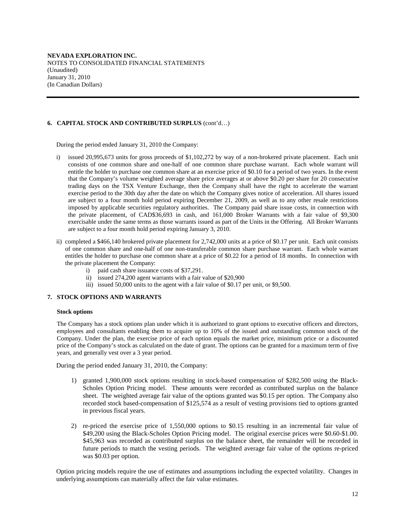# **6. CAPITAL STOCK AND CONTRIBUTED SURPLUS** (cont'd…)

During the period ended January 31, 2010 the Company:

- i) issued 20,995,673 units for gross proceeds of \$1,102,272 by way of a non-brokered private placement. Each unit consists of one common share and one-half of one common share purchase warrant. Each whole warrant will entitle the holder to purchase one common share at an exercise price of \$0.10 for a period of two years. In the event that the Company's volume weighted average share price averages at or above \$0.20 per share for 20 consecutive trading days on the TSX Venture Exchange, then the Company shall have the right to accelerate the warrant exercise period to the 30th day after the date on which the Company gives notice of acceleration. All shares issued are subject to a four month hold period expiring December 21, 2009, as well as to any other resale restrictions imposed by applicable securities regulatory authorities.The Company paid share issue costs, in connection with the private placement, of CAD\$36,693 in cash, and 161,000 Broker Warrants with a fair value of \$9,300 exercisable under the same terms as those warrants issued as part of the Units in the Offering. All Broker Warrants are subject to a four month hold period expiring January 3, 2010.
- ii) completed a \$466,140 brokered private placement for 2,742,000 units at a price of \$0.17 per unit. Each unit consists of one common share and one-half of one non-transferable common share purchase warrant. Each whole warrant entitles the holder to purchase one common share at a price of \$0.22 for a period of 18 months. In connection with the private placement the Company:
	- i) paid cash share issuance costs of \$37,291.
	- ii) issued 274,200 agent warrants with a fair value of \$20,900
	- iii) issued 50,000 units to the agent with a fair value of \$0.17 per unit, or \$9,500.

## **7. STOCK OPTIONS AND WARRANTS**

#### **Stock options**

The Company has a stock options plan under which it is authorized to grant options to executive officers and directors, employees and consultants enabling them to acquire up to 10% of the issued and outstanding common stock of the Company. Under the plan, the exercise price of each option equals the market price, minimum price or a discounted price of the Company's stock as calculated on the date of grant. The options can be granted for a maximum term of five years, and generally vest over a 3 year period.

During the period ended January 31, 2010, the Company:

- 1) granted 1,900,000 stock options resulting in stock-based compensation of \$282,500 using the Black-Scholes Option Pricing model. These amounts were recorded as contributed surplus on the balance sheet. The weighted average fair value of the options granted was \$0.15 per option. The Company also recorded stock based-compensation of \$125,574 as a result of vesting provisions tied to options granted in previous fiscal years.
- 2) re-priced the exercise price of 1,550,000 options to \$0.15 resulting in an incremental fair value of \$49,200 using the Black-Scholes Option Pricing model. The original exercise prices were \$0.60-\$1.00. \$45,963 was recorded as contributed surplus on the balance sheet, the remainder will be recorded in future periods to match the vesting periods. The weighted average fair value of the options re-priced was \$0.03 per option.

Option pricing models require the use of estimates and assumptions including the expected volatility. Changes in underlying assumptions can materially affect the fair value estimates.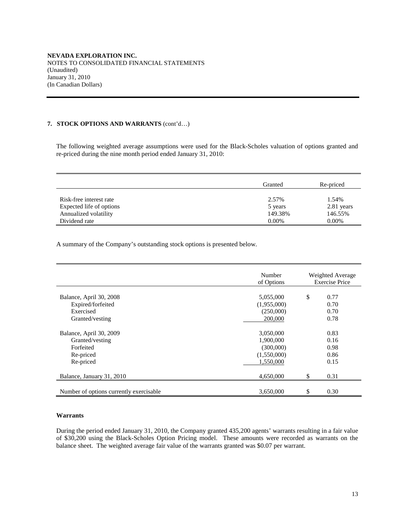## **7. STOCK OPTIONS AND WARRANTS** (cont'd…)

The following weighted average assumptions were used for the Black-Scholes valuation of options granted and re-priced during the nine month period ended January 31, 2010:

|                          | Granted  | Re-priced  |
|--------------------------|----------|------------|
| Risk-free interest rate  | 2.57%    | 1.54%      |
| Expected life of options | 5 years  | 2.81 years |
| Annualized volatility    | 149.38%  | 146.55%    |
| Dividend rate            | $0.00\%$ | $0.00\%$   |

A summary of the Company's outstanding stock options is presented below.

|                                         | Number<br>of Options | Weighted Average<br><b>Exercise Price</b> |
|-----------------------------------------|----------------------|-------------------------------------------|
| Balance, April 30, 2008                 | 5,055,000            | \$<br>0.77                                |
| Expired/forfeited                       | (1,955,000)          | 0.70                                      |
| Exercised                               | (250,000)            | 0.70                                      |
| Granted/vesting                         | 200,000              | 0.78                                      |
| Balance, April 30, 2009                 | 3,050,000            | 0.83                                      |
| Granted/vesting                         | 1,900,000            | 0.16                                      |
| Forfeited                               | (300,000)            | 0.98                                      |
| Re-priced                               | (1,550,000)          | 0.86                                      |
| Re-priced                               | 1,550,000            | 0.15                                      |
| Balance, January 31, 2010               | 4,650,000            | \$<br>0.31                                |
| Number of options currently exercisable | 3,650,000            | \$<br>0.30                                |

## **Warrants**

During the period ended January 31, 2010, the Company granted 435,200 agents' warrants resulting in a fair value of \$30,200 using the Black-Scholes Option Pricing model. These amounts were recorded as warrants on the balance sheet. The weighted average fair value of the warrants granted was \$0.07 per warrant.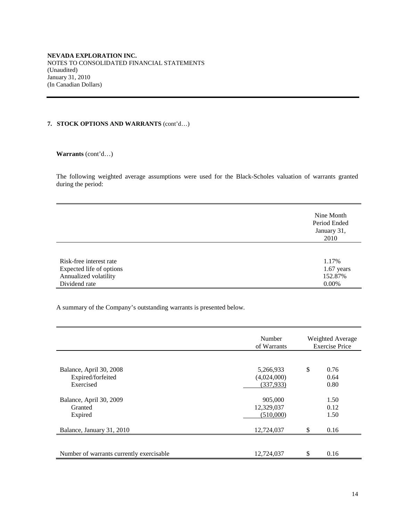# **7. STOCK OPTIONS AND WARRANTS** (cont'd…)

**Warrants** (cont'd…)

The following weighted average assumptions were used for the Black-Scholes valuation of warrants granted during the period:

|                          | Nine Month<br>Period Ended<br>January 31,<br>2010 |
|--------------------------|---------------------------------------------------|
| Risk-free interest rate  | 1.17%                                             |
| Expected life of options | $1.67$ years                                      |
| Annualized volatility    | 152.87%                                           |
| Dividend rate            | $0.00\%$                                          |

A summary of the Company's outstanding warrants is presented below.

|                                                           | Number<br>of Warrants                  | Weighted Average<br><b>Exercise Price</b> |                      |
|-----------------------------------------------------------|----------------------------------------|-------------------------------------------|----------------------|
| Balance, April 30, 2008<br>Expired/forfeited<br>Exercised | 5,266,933<br>(4,024,000)<br>(337, 933) | \$                                        | 0.76<br>0.64<br>0.80 |
| Balance, April 30, 2009<br>Granted<br>Expired             | 905,000<br>12,329,037<br>(510,000)     |                                           | 1.50<br>0.12<br>1.50 |
| Balance, January 31, 2010                                 | 12,724,037                             | \$                                        | 0.16                 |
| Number of warrants currently exercisable                  | 12,724,037                             | \$                                        | 0.16                 |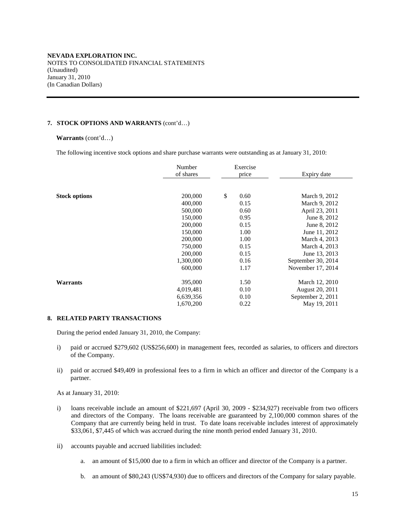## **7. STOCK OPTIONS AND WARRANTS** (cont'd…)

#### **Warrants** (cont'd…)

The following incentive stock options and share purchase warrants were outstanding as at January 31, 2010:

|                      | Number<br>of shares                                                                                                     | Exercise<br>price                                                                          | Expiry date                                                                                                                                                                                     |
|----------------------|-------------------------------------------------------------------------------------------------------------------------|--------------------------------------------------------------------------------------------|-------------------------------------------------------------------------------------------------------------------------------------------------------------------------------------------------|
| <b>Stock options</b> | 200,000<br>400,000<br>500,000<br>150,000<br>200,000<br>150,000<br>200,000<br>750,000<br>200,000<br>1,300,000<br>600,000 | \$<br>0.60<br>0.15<br>0.60<br>0.95<br>0.15<br>1.00<br>1.00<br>0.15<br>0.15<br>0.16<br>1.17 | March 9, 2012<br>March 9, 2012<br>April 23, 2011<br>June 8, 2012<br>June 8, 2012<br>June 11, 2012<br>March 4, 2013<br>March 4, 2013<br>June 13, 2013<br>September 30, 2014<br>November 17, 2014 |
| <b>Warrants</b>      | 395,000<br>4,019,481<br>6,639,356<br>1,670,200                                                                          | 1.50<br>0.10<br>0.10<br>0.22                                                               | March 12, 2010<br>August 20, 2011<br>September 2, 2011<br>May 19, 2011                                                                                                                          |

#### **8. RELATED PARTY TRANSACTIONS**

During the period ended January 31, 2010, the Company:

- i) paid or accrued \$279,602 (US\$256,600) in management fees, recorded as salaries, to officers and directors of the Company.
- ii) paid or accrued \$49,409 in professional fees to a firm in which an officer and director of the Company is a partner.

As at January 31, 2010:

- i) loans receivable include an amount of \$221,697 (April 30, 2009 \$234,927) receivable from two officers and directors of the Company. The loans receivable are guaranteed by 2,100,000 common shares of the Company that are currently being held in trust. To date loans receivable includes interest of approximately \$33,061, \$7,445 of which was accrued during the nine month period ended January 31, 2010.
- ii) accounts payable and accrued liabilities included:
	- a. an amount of \$15,000 due to a firm in which an officer and director of the Company is a partner.
	- b. an amount of \$80,243 (US\$74,930) due to officers and directors of the Company for salary payable.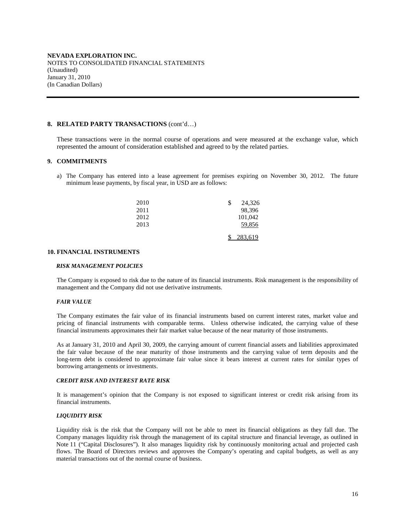### **8. RELATED PARTY TRANSACTIONS** (cont'd…)

These transactions were in the normal course of operations and were measured at the exchange value, which represented the amount of consideration established and agreed to by the related parties.

## **9. COMMITMENTS**

a) The Company has entered into a lease agreement for premises expiring on November 30, 2012. The future minimum lease payments, by fiscal year, in USD are as follows:

| 2010 | 24,326<br>\$ |
|------|--------------|
| 2011 | 98,396       |
| 2012 | 101,042      |
| 2013 | 59,856       |
|      | 283,619      |

#### **10. FINANCIAL INSTRUMENTS**

#### *RISK MANAGEMENT POLICIES*

The Company is exposed to risk due to the nature of its financial instruments. Risk management is the responsibility of management and the Company did not use derivative instruments.

#### *FAIR VALUE*

The Company estimates the fair value of its financial instruments based on current interest rates, market value and pricing of financial instruments with comparable terms. Unless otherwise indicated, the carrying value of these financial instruments approximates their fair market value because of the near maturity of those instruments.

As at January 31, 2010 and April 30, 2009, the carrying amount of current financial assets and liabilities approximated the fair value because of the near maturity of those instruments and the carrying value of term deposits and the long-term debt is considered to approximate fair value since it bears interest at current rates for similar types of borrowing arrangements or investments.

#### *CREDIT RISK AND INTEREST RATE RISK*

It is management's opinion that the Company is not exposed to significant interest or credit risk arising from its financial instruments.

#### *LIQUIDITY RISK*

Liquidity risk is the risk that the Company will not be able to meet its financial obligations as they fall due. The Company manages liquidity risk through the management of its capital structure and financial leverage, as outlined in Note 11 ("Capital Disclosures"). It also manages liquidity risk by continuously monitoring actual and projected cash flows. The Board of Directors reviews and approves the Company's operating and capital budgets, as well as any material transactions out of the normal course of business.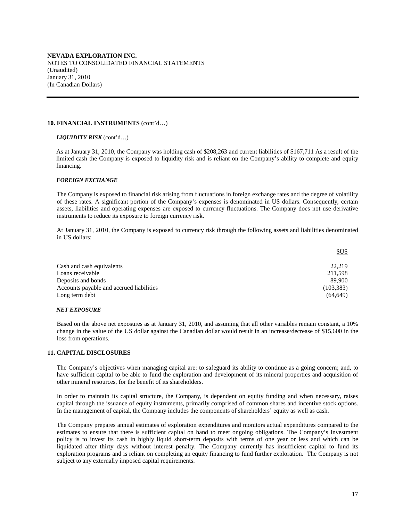#### **10. FINANCIAL INSTRUMENTS** (cont'd…)

#### *LIQUIDITY RISK* (cont'd…)

As at January 31, 2010, the Company was holding cash of \$208,263 and current liabilities of \$167,711 As a result of the limited cash the Company is exposed to liquidity risk and is reliant on the Company's ability to complete and equity financing.

#### *FOREIGN EXCHANGE*

The Company is exposed to financial risk arising from fluctuations in foreign exchange rates and the degree of volatility of these rates. A significant portion of the Company's expenses is denominated in US dollars. Consequently, certain assets, liabilities and operating expenses are exposed to currency fluctuations. The Company does not use derivative instruments to reduce its exposure to foreign currency risk.

At January 31, 2010, the Company is exposed to currency risk through the following assets and liabilities denominated in US dollars:

|                                          | SUS        |
|------------------------------------------|------------|
| Cash and cash equivalents                | 22.219     |
| Loans receivable                         | 211,598    |
| Deposits and bonds                       | 89.900     |
| Accounts payable and accrued liabilities | (103, 383) |
| Long term debt                           | (64, 649)  |

#### *NET EXPOSURE*

Based on the above net exposures as at January 31, 2010, and assuming that all other variables remain constant, a 10% change in the value of the US dollar against the Canadian dollar would result in an increase/decrease of \$15,600 in the loss from operations.

### **11. CAPITAL DISCLOSURES**

The Company's objectives when managing capital are: to safeguard its ability to continue as a going concern; and, to have sufficient capital to be able to fund the exploration and development of its mineral properties and acquisition of other mineral resources, for the benefit of its shareholders.

In order to maintain its capital structure, the Company, is dependent on equity funding and when necessary, raises capital through the issuance of equity instruments, primarily comprised of common shares and incentive stock options. In the management of capital, the Company includes the components of shareholders' equity as well as cash.

The Company prepares annual estimates of exploration expenditures and monitors actual expenditures compared to the estimates to ensure that there is sufficient capital on hand to meet ongoing obligations. The Company's investment policy is to invest its cash in highly liquid short-term deposits with terms of one year or less and which can be liquidated after thirty days without interest penalty. The Company currently has insufficient capital to fund its exploration programs and is reliant on completing an equity financing to fund further exploration. The Company is not subject to any externally imposed capital requirements.